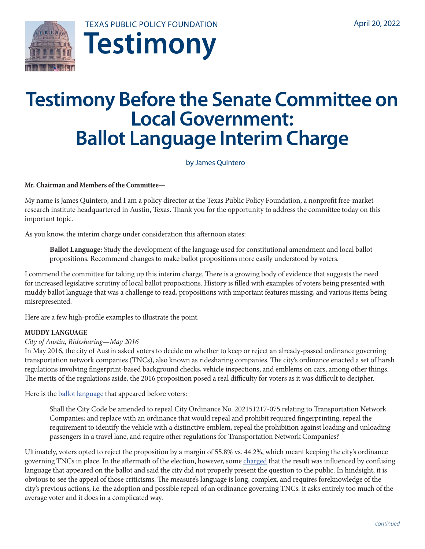

# **Testimony Before the Senate Committee on Local Government: Ballot Language Interim Charge**

by James Quintero

**Mr. Chairman and Members of the Committee—** 

My name is James Quintero, and I am a policy director at the Texas Public Policy Foundation, a nonprofit free-market research institute headquartered in Austin, Texas. Thank you for the opportunity to address the committee today on this important topic.

As you know, the interim charge under consideration this afternoon states:

**Ballot Language:** Study the development of the language used for constitutional amendment and local ballot propositions. Recommend changes to make ballot propositions more easily understood by voters.

I commend the committee for taking up this interim charge. There is a growing body of evidence that suggests the need for increased legislative scrutiny of local ballot propositions. History is filled with examples of voters being presented with muddy ballot language that was a challenge to read, propositions with important features missing, and various items being misrepresented.

Here are a few high-profile examples to illustrate the point.

## **MUDDY LANGUAGE**

## *City of Austin, Ridesharing—May 2016*

In May 2016, the city of Austin asked voters to decide on whether to keep or reject an already-passed ordinance governing transportation network companies (TNCs), also known as ridesharing companies. The city's ordinance enacted a set of harsh regulations involving fingerprint-based background checks, vehicle inspections, and emblems on cars, among other things. The merits of the regulations aside, the 2016 proposition posed a real difficulty for voters as it was difficult to decipher.

Here is the **ballot** language that appeared before voters:

Shall the City Code be amended to repeal City Ordinance No. 202151217-075 relating to Transportation Network Companies; and replace with an ordinance that would repeal and prohibit required fingerprinting, repeal the requirement to identify the vehicle with a distinctive emblem, repeal the prohibition against loading and unloading passengers in a travel lane, and require other regulations for Transportation Network Companies?

Ultimately, voters opted to reject the proposition by a margin of 55.8% vs. 44.2%, which meant keeping the city's ordinance governing TNCs in place. In the aftermath of the election, however, some [charged](https://www.youtube.com/watch?v=5RXQUrPBCxk) that the result was influenced by confusing language that appeared on the ballot and said the city did not properly present the question to the public. In hindsight, it is obvious to see the appeal of those criticisms. The measure's language is long, complex, and requires foreknowledge of the city's previous actions, i.e. the adoption and possible repeal of an ordinance governing TNCs. It asks entirely too much of the average voter and it does in a complicated way.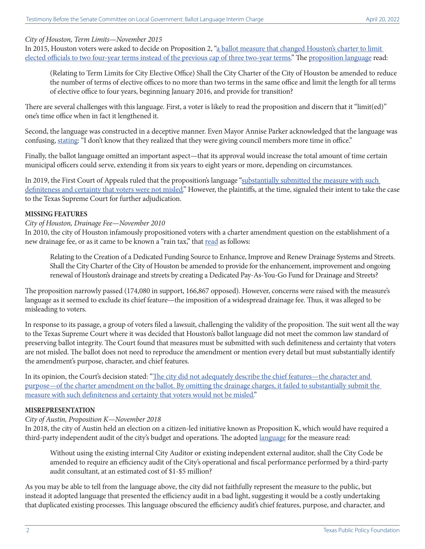## *City of Houston, Term Limits—November 2015*

In 2015, Houston voters were asked to decide on Proposition 2, ["a ballot measure that changed Houston's charter to limit](https://www.chron.com/politics/houston/article/Appeals-court-preserves-extended-term-limits-for-14047968.php)  [elected officials to two four-year terms instead of the previous cap of three two-year terms."](https://www.chron.com/politics/houston/article/Appeals-court-preserves-extended-term-limits-for-14047968.php) The [proposition language](https://casetext.com/case/bryant-v-parker-4) read:

(Relating to Term Limits for City Elective Office) Shall the City Charter of the City of Houston be amended to reduce the number of terms of elective offices to no more than two terms in the same office and limit the length for all terms of elective office to four years, beginning January 2016, and provide for transition?

There are several challenges with this language. First, a voter is likely to read the proposition and discern that it "limit(ed)" one's time office when in fact it lengthened it.

Second, the language was constructed in a deceptive manner. Even Mayor Annise Parker acknowledged that the language was confusing, [stating:](https://www.houstonpublicmedia.org/articles/news/2015/11/06/125962/did-voters-know-they-were-approving-extended-term-limits-in-houston/) "I don't know that they realized that they were giving council members more time in office."

Finally, the ballot language omitted an important aspect—that its approval would increase the total amount of time certain municipal officers could serve, extending it from six years to eight years or more, depending on circumstances.

In 2019, the First Court of Appeals ruled that the proposition's language "substantially submitted the measure with such [definiteness and certainty that voters were not misled.](https://www.chron.com/politics/houston/article/Appeals-court-preserves-extended-term-limits-for-14047968.php)" However, the plaintiffs, at the time, signaled their intent to take the case to the Texas Supreme Court for further adjudication.

#### **MISSING FEATURES**

#### *City of Houston, Drainage Fee—November 2010*

In 2010, the city of Houston infamously propositioned voters with a charter amendment question on the establishment of a new drainage fee, or as it came to be known a "rain tax," that [read](https://casetext.com/case/dacus-v-parker) as follows:

Relating to the Creation of a Dedicated Funding Source to Enhance, Improve and Renew Drainage Systems and Streets. Shall the City Charter of the City of Houston be amended to provide for the enhancement, improvement and ongoing renewal of Houston's drainage and streets by creating a Dedicated Pay-As-You-Go Fund for Drainage and Streets?

The proposition narrowly passed (174,080 in support, 166,867 opposed). However, concerns were raised with the measure's language as it seemed to exclude its chief feature—the imposition of a widespread drainage fee. Thus, it was alleged to be misleading to voters.

In response to its passage, a group of voters filed a lawsuit, challenging the validity of the proposition. The suit went all the way to the Texas Supreme Court where it was decided that Houston's ballot language did not meet the common law standard of preserving ballot integrity. The Court found that measures must be submitted with such definiteness and certainty that voters are not misled. The ballot does not need to reproduce the amendment or mention every detail but must substantially identify the amendment's purpose, character, and chief features.

In its opinion, the Court's decision stated: "The city did not adequately describe the chief features—the character and [purpose—of the charter amendment on the ballot. By omitting the drainage charges, it failed to substantially submit the](https://law.justia.com/cases/texas/supreme-court/2015/13-0047.html)  [measure with such definiteness and certainty that voters would not be misled."](https://law.justia.com/cases/texas/supreme-court/2015/13-0047.html)

#### **MISREPRESENTATION**

#### *City of Austin, Proposition K—November 2018*

In 2018, the city of Austin held an election on a citizen-led initiative known as Proposition K, which would have required a third-party independent audit of the city's budget and operations. The adopted [language](https://www.texaspolicy.com/wp-content/uploads/2018/11/Ed-English_TPPF-Amicus-Brief.pdf) for the measure read:

Without using the existing internal City Auditor or existing independent external auditor, shall the City Code be amended to require an efficiency audit of the City's operational and fiscal performance performed by a third-party audit consultant, at an estimated cost of \$1-\$5 million?

As you may be able to tell from the language above, the city did not faithfully represent the measure to the public, but instead it adopted language that presented the efficiency audit in a bad light, suggesting it would be a costly undertaking that duplicated existing processes. This language obscured the efficiency audit's chief features, purpose, and character, and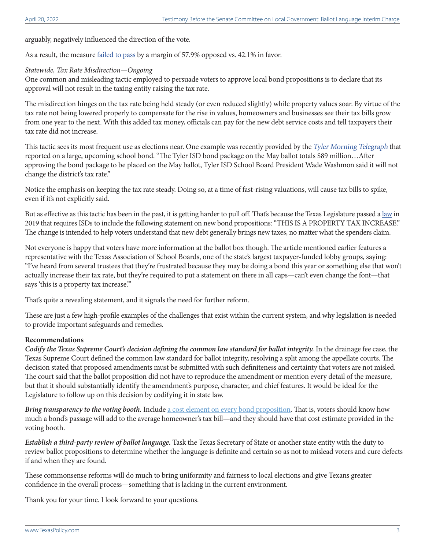arguably, negatively influenced the direction of the vote.

As a result, the measure [failed to pass](https://ballotpedia.org/Austin,_Texas,_Proposition_K,_Efficiency_Study_(November_2018)) by a margin of 57.9% opposed vs. 42.1% in favor.

#### *Statewide, Tax Rate Misdirection—Ongoing*

One common and misleading tactic employed to persuade voters to approve local bond propositions is to declare that its approval will not result in the taxing entity raising the tax rate.

The misdirection hinges on the tax rate being held steady (or even reduced slightly) while property values soar. By virtue of the tax rate not being lowered properly to compensate for the rise in values, homeowners and businesses see their tax bills grow from one year to the next. With this added tax money, officials can pay for the new debt service costs and tell taxpayers their tax rate did not increase.

This tactic sees its most frequent use as elections near. One example was recently provided by the *Tyler Morning [Telegraph](https://tylerpaper.com/news/local/required-language-on-ballots-for-tyler-isd-bond-package-could-confuse-voters/article_0e052e4a-a0ea-11ec-a671-df33c319aa9a.html)* that reported on a large, upcoming school bond. "The Tyler ISD bond package on the May ballot totals \$89 million…After approving the bond package to be placed on the May ballot, Tyler ISD School Board President Wade Washmon said it will not change the district's tax rate."

Notice the emphasis on keeping the tax rate steady. Doing so, at a time of fast-rising valuations, will cause tax bills to spike, even if it's not explicitly said.

But as effective as this tactic has been in the past, it is getting harder to pull off. That's because the Texas Legislature passed a [law](https://capitol.texas.gov/BillLookup/Text.aspx?LegSess=86R&Bill=HB3) in 2019 that requires ISDs to include the following statement on new bond propositions: "THIS IS A PROPERTY TAX INCREASE." The change is intended to help voters understand that new debt generally brings new taxes, no matter what the spenders claim.

Not everyone is happy that voters have more information at the ballot box though. The article mentioned earlier features a representative with the Texas Association of School Boards, one of the state's largest taxpayer-funded lobby groups, saying: "I've heard from several trustees that they're frustrated because they may be doing a bond this year or something else that won't actually increase their tax rate, but they're required to put a statement on there in all caps—can't even change the font—that says 'this is a property tax increase.'"

That's quite a revealing statement, and it signals the need for further reform.

These are just a few high-profile examples of the challenges that exist within the current system, and why legislation is needed to provide important safeguards and remedies.

## **Recommendations**

*Codify the Texas Supreme Court's decision defining the common law standard for ballot integrity.* In the drainage fee case, the Texas Supreme Court defined the common law standard for ballot integrity, resolving a split among the appellate courts. The decision stated that proposed amendments must be submitted with such definiteness and certainty that voters are not misled. The court said that the ballot proposition did not have to reproduce the amendment or mention every detail of the measure, but that it should substantially identify the amendment's purpose, character, and chief features. It would be ideal for the Legislature to follow up on this decision by codifying it in state law.

*Bring transparency to the voting booth.* Include [a cost element on every bond proposition.](https://www.texaspolicy.com/wp-content/uploads/2020/03/2020-03-PP-TLL-Quintero-Watson-Red-Ink-Rising-in-Lone-Star-State.pdf) That is, voters should know how much a bond's passage will add to the average homeowner's tax bill—and they should have that cost estimate provided in the voting booth.

*Establish a third-party review of ballot language.* Task the Texas Secretary of State or another state entity with the duty to review ballot propositions to determine whether the language is definite and certain so as not to mislead voters and cure defects if and when they are found.

These commonsense reforms will do much to bring uniformity and fairness to local elections and give Texans greater confidence in the overall process—something that is lacking in the current environment.

Thank you for your time. I look forward to your questions.